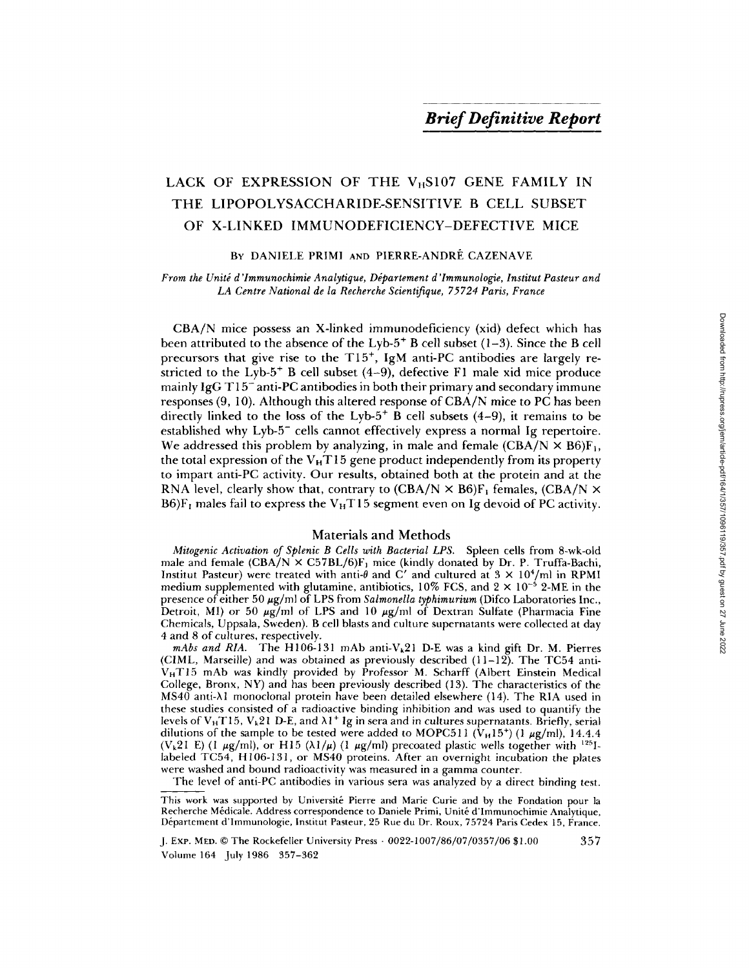# LACK OF EXPRESSION OF THE  $V_HS107$  GENE FAMILY IN THE LIPOPOLYSACCHARIDE-SENSITIVE B CELL SUBSET OF X-LINKED IMMUNODEFICIENCY-DEFECTIVE MICE

## BY DANIELE PRIMI AND PIERRE-ANDRÉ CAZENAVE

*From the Unité d'Immunochimie Analytique, Département d'Immunologie, Institut Pasteur and* LA Centre National de la Recherche Scientifique, 75724 Paris, France

CBA/N mice possess an X-linked immunodeficiency (xid) defect which has been attributed to the absence of the Lyb-5<sup>+</sup> B cell subset  $(1-3)$ . Since the B cell precursors that give rise to the  $T15^+$ , IgM anti-PC antibodies are largely restricted to the Lyb- $5^+$  B cell subset (4-9), defective F1 male xid mice produce mainly  $IgG T15^-$  anti-PC antibodies in both their primary and secondary immune responses (9, 10). Although this altered response of CBA/N mice to PC has been directly linked to the loss of the Lyb- $5$ <sup>+</sup> B cell subsets (4–9), it remains to be established why Lyb-5<sup>-</sup> cells cannot effectively express a normal Ig repertoire. We addressed this problem by analyzing, in male and female  $(CBA/N \times B6)F_1$ , the total expression of the  $V_H T15$  gene product independently from its property to impart anti-PC activity. Our results, obtained both at the protein and at the RNA level, clearly show that, contrary to  $(CBA/N \times B6)F_1$  females,  $(CBA/N \times B6)F_2$ B6) $F_1$  males fail to express the V<sub>H</sub>T15 segment even on Ig devoid of PC activity.

#### Materials and Methods

*Mitogenic Activation of Splenic B Cells with Bacterial LPS.* Spleen cells from 8-wk-old male and female  $(CBA/N \times C57BL/6)F_1$  mice (kindly donated by Dr. P. Truffa-Bachi, Institut Pasteur) were treated with anti- $\theta$  and C' and cultured at 3  $\times$  10<sup>4</sup>/ml in RPMI medium supplemented with glutamine, antibiotics,  $10\%$  FCS, and  $2 \times 10^{-5}$  2-ME in the presence of either 50  $\mu$ g/ml of LPS from *Salmonella typhimurium* (Difco Laboratories Inc., Detroit, MI) or 50  $\mu$ g/ml of LPS and 10  $\mu$ g/ml of Dextran Sulfate (Pharmacia Fine Chemicals, Uppsala, Sweden). B cell blasts and culture supernatants were collected at day 4 and 8 of cultures, respectively.

*mAbs and RIA.* The H106-131 mAb anti-V<sub>k</sub>21 D-E was a kind gift Dr. M. Pierres (CIML, Marseille) and was obtained as previously described (11-12). The TC54 anti- $V_H T15$  mAb was kindly provided by Professor M. Scharff (Albert Einstein Medical College, Bronx, NY) and has been previously described (13). The characteristics of the  $MS40$  anti- $\lambda$ l monoclonal protein have been detailed elsewhere (14). The RIA used in these studies consisted of a radioactive binding inhibition and was used to quantify the levels of V<sub>H</sub>T15, V<sub>k</sub>21 D-E, and  $\lambda$ 1<sup>+</sup> Ig in sera and in cultures supernatants. Briefly, serial dilutions of the sample to be tested were added to MOPC511 ( $V_H15^+$ ) (1  $\mu$ g/ml), 14.4.4 (V<sub>k</sub>21 E) (1  $\mu$ g/ml), or H15 ( $\lambda$ 1/ $\mu$ ) (1  $\mu$ g/ml) precoated plastic wells together with <sup>125</sup>1labeled TC54, H106-131, or MS40 proteins. After an overnight incubation the plates were washed and bound radioactivity was measured in a gamma counter.

The level of anti-PC antibodies in various sera was analyzed by a direct binding test.

J. ExP. MED. © The Rockefeller University Press • 0022-1007/86/07/0357/06 \$1.00 357 Volume 164 July 1986 357-362

This work was supported by Université Pierre and Marie Curie and by the Fondation pour la Recherche Médicale. Address correspondence to Daniele Primi, Unité d'Immunochimie Analytique, Département d'Immunologie, Institut Pasteur, 25 Rue du Dr. Roux, 75724 Paris Cedex 15, France.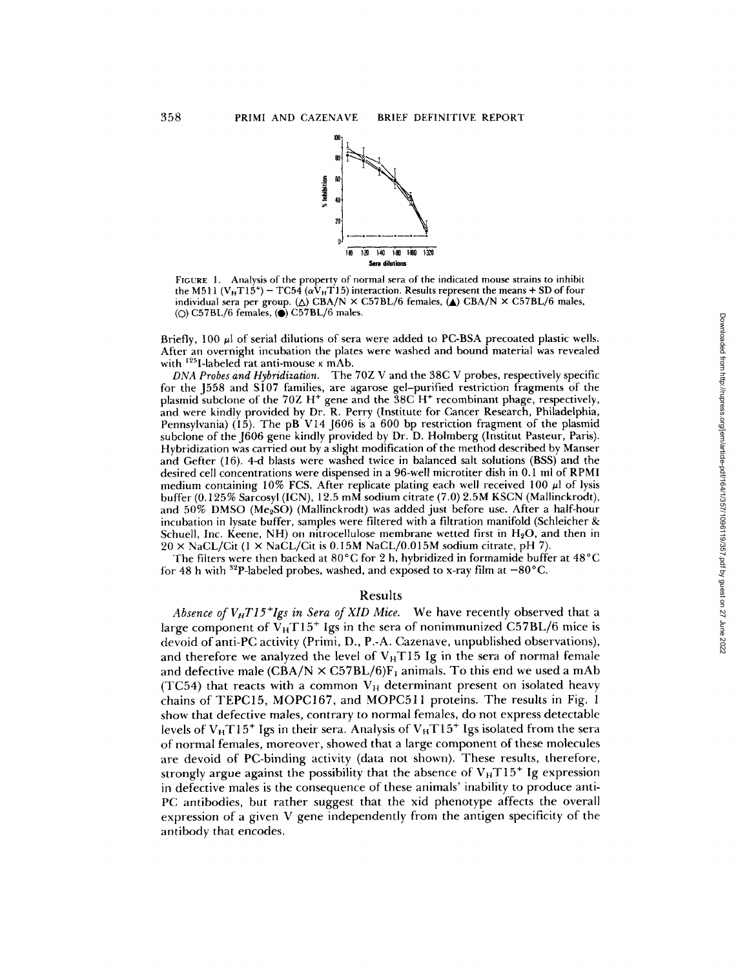

FIGURE 1. Analysis of the property of normal sera of the indicated mouse strains to inhibit the M511 (V<sub>H</sub>T15<sup>+</sup>) – TC54 ( $\alpha V_H$ T15) interaction. Results represent the means + SD of four individual sera per group.  $(\triangle)$  CBA/N  $\times$  C57BL/6 females,  $(\triangle)$  CBA/N  $\times$  C57BL/6 males, ( $\circ$ ) C57BL/6 females, ( $\bullet$ ) C57BL/6 males.

Briefly, 100  $\mu$  of serial dilutions of sera were added to PC-BSA precoated plastic wells. After an overnight incubation the plates were washed and bound material was revealed with  $^{125}$ I-labeled rat anti-mouse  $\kappa$  mAb.

*DNA Probes and Hybridization.* The 70Z V and the 38C V probes, respectively specific for the J558 and S107 families, are agarose gel-purified restriction fragments of the plasmid subclone of the 70Z H<sup>+</sup> gene and the 38C H<sup>+</sup> recombinant phage, respectively, and were kindly provided by Dr. R. Perry (Institute for Cancer Research, Philadelphia, Pennsylvania)  $(15)$ . The pB V14 J606 is a 600 bp restriction fragment of the plasmid subclone of the J606 gene kindly provided by Dr. D. Holmberg (Institut Pasteur, Paris). Hybridization was carried out by a slight modification of the method described by Manser and Gefter (16). 4-d blasts were washed twice in balanced salt solutions (BSS) and the desired cell concentrations were dispensed in a 96-well microtiter dish in 0.1 ml of RPMI medium containing 10% FCS. After replicate plating each well received 100  $\mu$ l of lysis buffer (0.125% Sarcosyl (ICN), 12.5 mM sodium citrate (7.0) 2.5M KSCN (Mallinckrodt), and 50% DMSO (Me<sub>2</sub>SO) (Mallinckrodt) was added just before use. After a half-hour incubation in lysate buffer, samples were filtered with a filtration manifold (Schleicher & Schuell, Inc. Keene, NH) on nitrocellulose membrane wetted first in  $H_2O$ , and then in  $20 \times$  NaCL/Cit (1 × NaCL/Cit is 0.15M NaCL/0.015M sodium citrate, pH 7).

The filters were then backed at 80°C for 2 h, hybridized in formamide buffer at 48°C for 48 h with <sup>32</sup>P-labeled probes, washed, and exposed to x-ray film at  $-80^{\circ}$ C.

### Results

*Absence of VHT15+Igs in Sera of XID Mice.* We have recently observed that a large component of  $V_H T15^+$  Igs in the sera of nonimmunized C57BL/6 mice is devoid of anti-PC activity (Primi, D., P.-A. Cazenave, unpublished observations), and therefore we analyzed the level of  $V<sub>H</sub>T15$  Ig in the sera of normal female and defective male (CBA/N  $\times$  C57BL/6)F<sub>1</sub> animals. To this end we used a mAb (TC54) that reacts with a common  $V_H$  determinant present on isolated heavy chains of TEPC15, MOPC167, and MOPC511 proteins. The results in Fig. 1 show that defective males, contrary to normal females, do not express detectable levels of  $V_H T 15^+$  Igs in their sera. Analysis of  $V_H T 15^+$  Igs isolated from the sera of normal females, moreover, showed that a large component of these molecules are devoid of PC-binding activity (data not shown). These results, therefore, strongly argue against the possibility that the absence of  $V_H T15^+$  Ig expression in defective males is the consequence of these animals' inability to produce anti-PC antibodies, but rather suggest that the xid phenotype affects the overall expression of a given V gene independently from the antigen specificity of the antibody that encodes.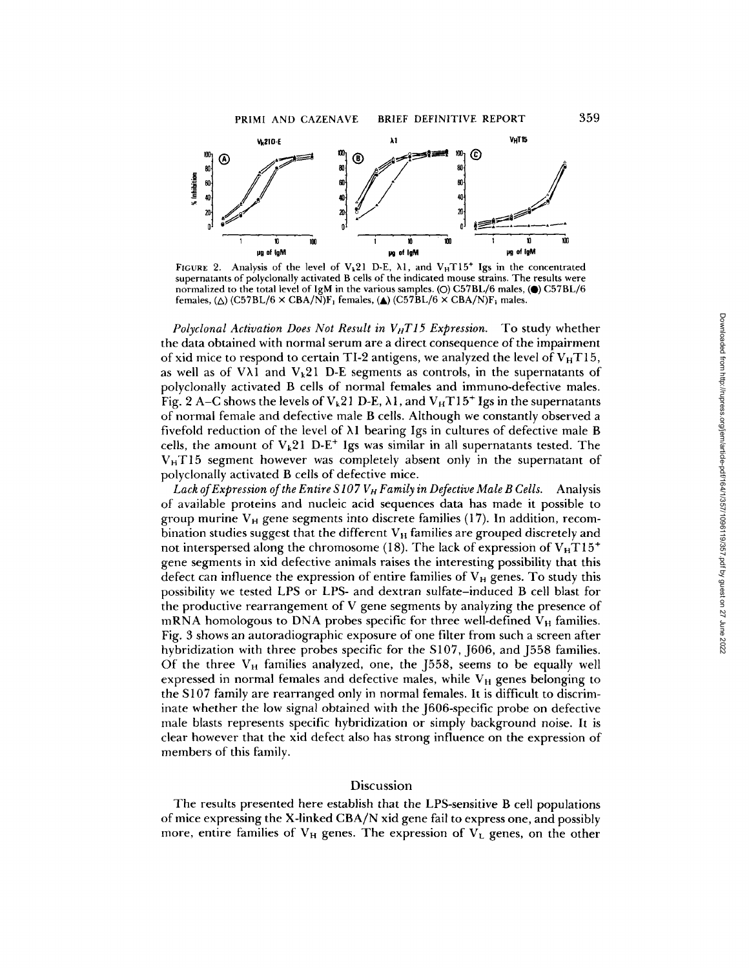

BRIEF DEFINITIVE REPORT

FIGURE 2. Analysis of the level of  $V_k$ 21 D-E,  $\lambda$ 1, and  $V_H$ T15<sup>+</sup> Igs in the concentrated supernatants of polyclonally activated B cells of the indicated mouse strains. The results were normalized to the total level of IgM in the various samples. (O) C57BL/6 males, (Q) C57BL/6 females,  $(\triangle)$  (C57BL/6  $\times$  CBA/N)F<sub>1</sub> females,  $(\triangle)$  (C57BL/6  $\times$  CBA/N)F<sub>1</sub> males.

*Polyclonal Activation Does Not Result in*  $V_HTI5$  *Expression.* To study whether the data obtained with normal serum are a direct consequence of the impairment of xid mice to respond to certain TI-2 antigens, we analyzed the level of  $V_HTI5$ , as well as of V $\lambda$ 1 and V<sub>k</sub>21 D-E segments as controls, in the supernatants of polyclonally activated B cells of normal females and immuno-defective males. Fig. 2 A–C shows the levels of  $V_k$ 21 D-E,  $\lambda$ 1, and  $V_H$ T15<sup>+</sup> Igs in the supernatants of normal female and defective male B cells. Although we constantly observed a fivefold reduction of the level of  $\lambda$ 1 bearing Igs in cultures of defective male B cells, the amount of  $V_k21$  D-E<sup>+</sup> Igs was similar in all supernatants tested. The  $V_H$ T15 segment however was completely absent only in the supernatant of polyclonally activated B cells of defective mice.

Lack of Expression of the Entire S107 V<sub>H</sub> Family in Defective Male B Cells. Analysis of available proteins and nucleic acid sequences data has made it possible to group murine  $V_H$  gene segments into discrete families (17). In addition, recombination studies suggest that the different  $V_H$  families are grouped discretely and not interspersed along the chromosome (18). The lack of expression of  $V_H T 15^+$ gene segments in xid defective animals raises the interesting possibility that this defect can influence the expression of entire families of  $V_H$  genes. To study this possibility we tested LPS or EPS- and dextran sulfate-induced B cell blast for the productive rearrangement of V gene segments by analyzing the presence of mRNA homologous to DNA probes specific for three well-defined  $V_H$  families. Fig. 3 shows an autoradiographic exposure of one filter from such a screen after hybridization with three probes specific for the S107, J606, and J558 families. Of the three  $V_H$  families analyzed, one, the J558, seems to be equally well expressed in normal females and defective males, while  $V_H$  genes belonging to the S107 family are rearranged only in normal females. It is difficult to discriminate whether the low signal obtained with the J606-specific probe on defective male blasts represents specific hybridization or simply background noise. It is clear however that the xid defect also has strong influence on the expression of members of this family.

## Discussion

The results presented here establish that the LPS-sensitive B cell populations of mice expressing the X-linked CBA/N xid gene fail to express one, and possibly more, entire families of  $V_H$  genes. The expression of  $V_L$  genes, on the other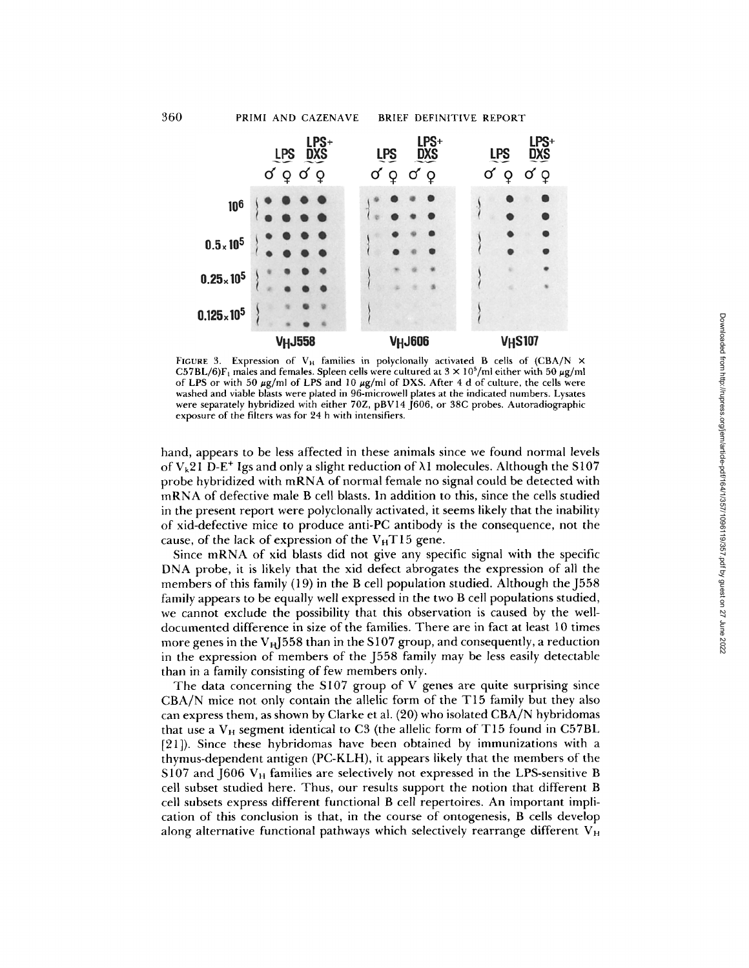

FIGURE 3. Expression of  $V_H$  families in polyclonally activated B cells of (CBA/N  $\times$ C57BL/6)F<sub>1</sub> males and females. Spleen cells were cultured at  $3 \times 10^5$ /ml either with 50  $\mu$ g/ml of LPS or with 50  $\mu$ g/ml of LPS and 10  $\mu$ g/ml of DXS. After 4 d of culture, the cells were washed and viable blasts were plated in 96-microwell plates at the indicated numbers. Lysates were separately hybridized with either 70Z, pBV14 [606, or 38C probes. Autoradiographic exposure of the filters was for 24 h with intensifiers.

hand, appears to be less affected in these animals since we found normal levels of V<sub>k</sub>21 D-E<sup>+</sup> Igs and only a slight reduction of  $\lambda$ 1 molecules. Although the S107 probe hybridized with mRNA of normal female no signal could be detected with mRNA of defective male B cell blasts. In addition to this, since the cells studied in the present report were polyclonally activated, it seems likely that the inability of xid-defective mice to produce anti-PC antibody is the consequence, not the cause, of the lack of expression of the  $V_HTI5$  gene.

Since mRNA of xid blasts did not give any specific signal with the specific DNA probe, it is likely that the xid defect abrogates the expression of all the members of this family (19) in the B cell population studied. Although the J558 family appears to be equally well expressed in the two B cell populations studied, we cannot exclude the possibility that this observation is caused by the welldocumented difference in size of the families. There are in fact at least 10 times more genes in the  $V_H$ J558 than in the S107 group, and consequently, a reduction in the expression of members of the J558 family may be less easily detectable than in a family consisting of few members only.

The data concerning the S107 group of V genes are quite surprising since CBA/N mice not only contain the allelic form of the T15 family but they also can express them, as shown by Clarke et al. (20) who isolated CBA/N hybridomas that use a  $V_H$  segment identical to C3 (the allelic form of T15 found in C57BL [21]). Since these hybridomas have been obtained by immunizations with a thymus-dependent antigen (PC-KLH), it appears likely that the members of the S107 and J606  $V_H$  families are selectively not expressed in the LPS-sensitive B cell subset studied here. Thus, our results support the notion that different B cell subsets express different functional B cell repertoires. An important implication of this conclusion is that, in the course of ontogenesis, B cells develop along alternative functional pathways which selectively rearrange different  $V_H$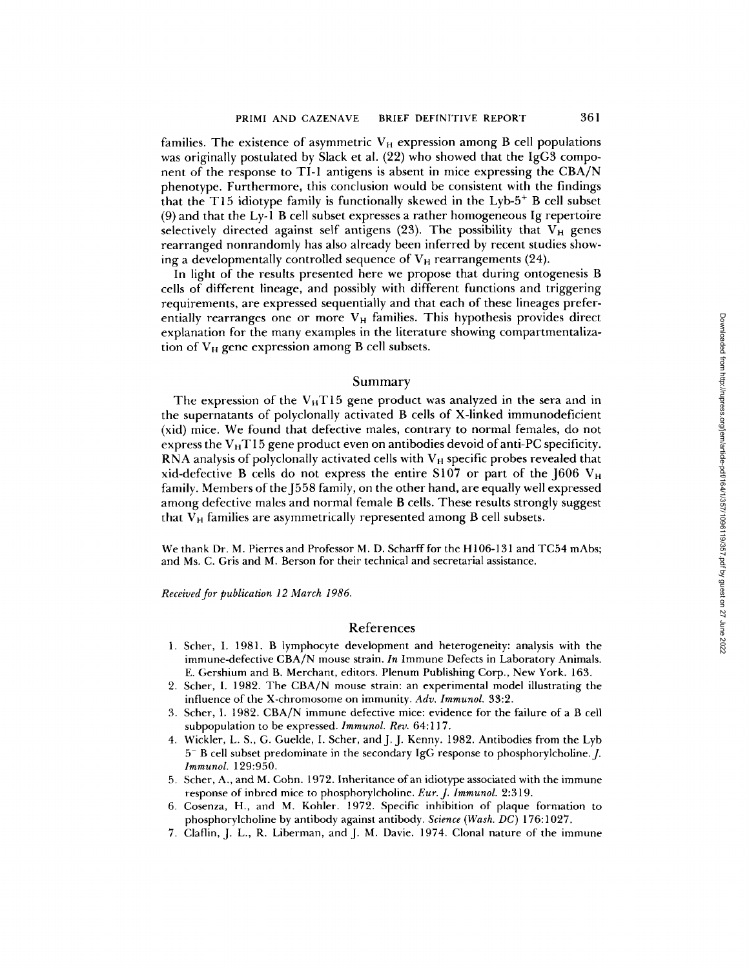families. The existence of asymmetric  $V_H$  expression among B cell populations was originally postulated by Slack et al. (22) who showed that the IgG3 component of the response to TI-1 antigens is absent in mice expressing the CBA/N phenotype. Furthermore, this conclusion would be consistent with the findings that the T15 idiotype family is functionally skewed in the  $Lyb-5$ <sup>+</sup> B cell subset (9) and that the Ly-1 B cell subset expresses a rather homogeneous Ig repertoire selectively directed against self antigens (23). The possibility that  $V_H$  genes rearranged nonrandomly has also already been inferred by recent studies showing a developmentally controlled sequence of  $V_H$  rearrangements (24).

In light of the results presented here we propose that during ontogenesis B cells of different lineage, and possibly with different functions and triggering requirements, are expressed sequentially and that each of these lineages preferentially rearranges one or more  $V_H$  families. This hypothesis provides direct explanation for the many examples in the literature showing compartmentalization of  $V_H$  gene expression among B cell subsets.

### Summary

The expression of the  $V_H T15$  gene product was analyzed in the sera and in the supernatants of polyclonally activated B cells of X-linked immunodeficient (xid) mice. We found that defective males, contrary to normal females, do not express the  $V<sub>H</sub>T15$  gene product even on antibodies devoid of anti-PC specificity. RNA analysis of polyclonally activated cells with  $V_H$  specific probes revealed that xid-defective B cells do not express the entire S107 or part of the  $1606$  V<sub>H</sub> family. Members of the J558 family, on the other hand, are equally well expressed among defective males and normal female B cells. These results strongly suggest that  $V_H$  families are asymmetrically represented among  $B$  cell subsets.

We thank Dr. M. Pierres and Professor M. D. Scharff for the H106-131 and TC54 mAbs; and Ms. C. Gris and M. Berson for their technical and secretarial assistance.

*Received for publication 12 March 1986.* 

## References

- 1. Scher, I. 1981. B lymphocyte development and heterogeneity: analysis with the immune-defective CBA/N mouse strain. *In* Immune Defects in Laboratory Animals. E. Gershium and B. Merchant, editors. Plenum Publishing Corp., New York. 163.
- 2. Scher, I. 1982. The CBA/N mouse strain: an experimental model illustrating the influence of the X-chromosome on immunity. *Adv. Immunol.* 33:2.
- 3. Scher, I. 1982. CBA/N immune defective mice: evidence for the failure of a B cell subpopulation to be expressed. *Immunol. Rev.* 64:117.
- 4. Wickler, L. S., G. Guelde, I. Scher, and J. J. Kenny. 1982. Antibodies from the Lyb 5- B cell subset predominate in the secondary IgG response to phosphorylcholine.J. *Immunol.* 129:950.
- 5. Scher, A., and M. Cohn. 1972. Inheritance of an idiotype associated with the immune response of inbred mice to phosphorylcholine. *Eur. J. Immunol.* 2:319.
- 6. Cosenza, H., and M. Kohler. 1972. Specific inhibition of plaque formation to phosphorylcholine by antibody against antibody. *Science (Wash. DC)* 176:1027.
- 7. Claflin, J. L., R. Liberman, and J. M. Davie. 1974. Clonal nature of the immune